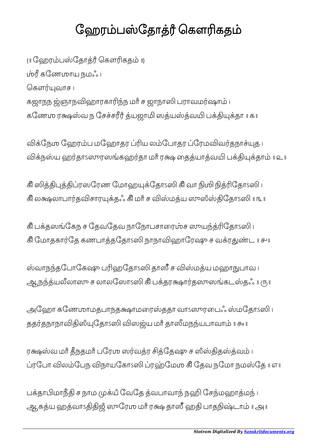## ஹேரம்பஸ்தோத்ரீ கௌரிகதம்

{॥ ேஹரபேதாரஂ ெகௗகத ॥} ம்ரீ கணேமாய நமஃ ၊ கௌர்யுவாச ப கஜாநந ஜ்ஞாநவிஹாரகாரிந்ந மாீ ச ஜாநாஸி பராவமர்ஷாம் ၊ கணேமு ரக்ஷஸ்வ ந சேச்சரீர் த்யஜாமி ஸத்யஸ்த்வயி பக்தியுக்தா ။ கா

விக்நேம ஹேரம்ப மஹோதர ப்ரிய லம்போதர ப்ரேமவிவர்தநாச்யுத ၊ நய ஹதாऽரஸகஹதா மாஂ ர ைதயாவ பதா ॥ ௨॥

கி ஸித்திபுத்திப்ரஸரேண மோஹயுக்தோsஸி கி வா நிமி நித்ரிதோsஸி ၊ கி லக்ஷலாபார்தவிசாரயுக்தஃ கி மர் ச விஸ்மத்ய ஸுஸீஸ்திதோsஸி ။ ௩ ။

கி பக்தஸங்கேந ச தேவதேவ நாநோபசாரைம்ச ஸுயந்த்ரிதோsஸி ப கி மோதகார்தே கணபாத்ததோsஸி நாநாவிஹாரேஷு ச வக்ரதுண்ட ။ சுய

ஸ்வாநந்தபோகேஷு பரிஹதோsஸி தாஸீ ச விஸ்மத்ய மஹாநுபாவ ၊ ஆநந்த்யலீலாஸு ச லாலஸோsஸி கீ பக்தரக்ஷார்தஸுஸங்கடஸ்தஃ ။ ரூய

அஹோ கணேமாமதபாநதக்ஷாமரைஸ்ததா வாsஸுரபைஃ ஸ்மதோsஸி ப ததர்தநாநாவிதிஸீயுதோsஸி விஸஜ்ய மரீ தாஸீமநந்யபாவாம் ॥ சுா

ரக்ஷஸ்வ மரீ தீநதமரீ பரேமு ஸர்வத்ர சித்தேஷு ச ஸீஸ்திதஸ்த்வம் । ப்ரபோ விலம்பேந விநாயகோsஸி ப்ரஹ்மேம கி தேவ நமோ நமஸ்தே ॥ எ॥

பக்தாபிமாநீதி ச நாம முக்யீ வேதே த்வபாவாந் நஹி சேந்மஹாத்மந் ၊ ஆகத்ய ஹத்வா $\mathfrak{so}$ திதிஜீ ஸுரேமு மாீ ரக்ஷ தாஸீ ஹதி பாதநிஷ்டாம் ။ அா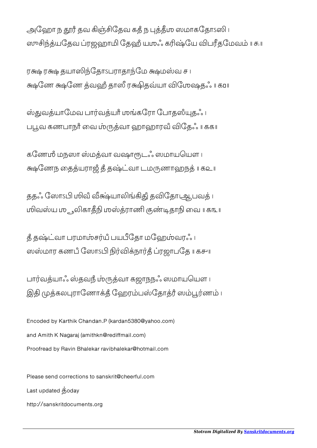அஹோ ந தூரீ தவ கிஞ்சிதேவ கதீ ந புத்தீமு ஸமாகதோsஸி ၊ ஸுசிந்த்யதேவ ப்ரஜஹாமி தேஹீ யமுஃ கரிஷ்யே விபரீதமேவம் ။ கூ

ரக்ஷ ரக்ஷ தயாஸிந்தோsபராதாந்மே க்ஷமஸ்வ ச ၊ க்ஷணே க்ஷணே த்வவற் தாஸீ ரக்ஷிதவ்யா விமேேஷதஃ ။ க்ப

ஸ்துவத்யாமேவ பார்வத்யாீ முங்கரோ போதஸீயுதஃ ၊ பபூவ கணபாநரீ வை ம்ருத்வா ஹாஹாரவீ விதேஃ ။ ககா

கணேமீ மநஸா ஸ்மக்வா வஷாரூடஃ ஸமாயயெள ၊ க்ஷனோந தைத்யராஜீ தீ தஷ்ட்வா டமருணாஹநத் ။ கஉ။

ததஃ ஸோேபி மிவீ வீக்ஷ்யாலிங்கிதீ தவிதோடு பவத் ப மிவஸ்ய மூதலிகாதீநி முஸ்த்ராணி குண்டிதாநி வை ။ கங

தீ தஷ்ட்வா பரமாம்சர்யீ பயபீதோ மஹேம்வரஃ ၊ ஸஸ்மார கணபீ ஸோsபி நிர்விக்நார்தீ ப்ரஜாபதே ။ கசு ။

பார்வத்யாஃ ஸ்தவநீ ம்ருத்வா கஜாநநஃ ஸமாயயெள ப இதி முத்கலபுராணோக்தீ ஹேரம்பஸ்தோத்ரீ ஸம்பூர்ணம் ၊

Encoded by Karthik Chandan.P (kardan5380@yahoo.com) and Amith K Nagaraj (amithkn@rediffmail.com) Proofread by Ravin Bhalekar ravibhalekar@hotmail.com

Please send corrections to sanskrit@cheerful.com Last updated  $\dot{\text{g}}$ oday http://sanskritdocuments.org